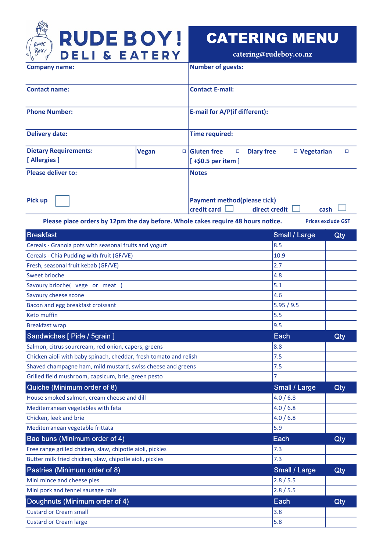

## CATERING MENU

**catering@rudeboy.co.nz**

| <b>Company name:</b>                                                             |                   | <b>Number of guests:</b>                                                     |                      |                           |
|----------------------------------------------------------------------------------|-------------------|------------------------------------------------------------------------------|----------------------|---------------------------|
| <b>Contact name:</b>                                                             |                   | <b>Contact E-mail:</b>                                                       |                      |                           |
| <b>Phone Number:</b>                                                             |                   | E-mail for A/P(if different):                                                |                      |                           |
| <b>Delivery date:</b>                                                            |                   | <b>Time required:</b>                                                        |                      |                           |
| <b>Dietary Requirements:</b>                                                     | <b>Vegan</b><br>□ | <b>Gluten</b> free<br><b>Diary free</b><br>П                                 | $\Box$ Vegetarian    | П                         |
| [Allergies]                                                                      |                   | $[+§0.5$ per item ]                                                          |                      |                           |
| <b>Please deliver to:</b>                                                        |                   | <b>Notes</b>                                                                 |                      |                           |
| Pick up                                                                          |                   | <b>Payment method(please tick)</b><br>credit card<br>direct credit L<br>cash |                      |                           |
| Please place orders by 12pm the day before. Whole cakes require 48 hours notice. |                   |                                                                              |                      | <b>Prices exclude GST</b> |
| <b>Breakfast</b>                                                                 |                   |                                                                              | <b>Small / Large</b> | Qty                       |
| Cereals - Granola pots with seasonal fruits and yogurt                           |                   |                                                                              | 8.5                  |                           |
| Cereals - Chia Pudding with fruit (GF/VE)                                        |                   |                                                                              | 10.9<br>2.7          |                           |
| Fresh, seasonal fruit kebab (GF/VE)<br>Sweet brioche                             |                   |                                                                              | 4.8                  |                           |
| Savoury brioche( vege or meat )                                                  |                   |                                                                              | 5.1                  |                           |
| Savoury cheese scone                                                             |                   |                                                                              | 4.6                  |                           |
| Bacon and egg breakfast croissant                                                |                   |                                                                              | 5.95 / 9.5           |                           |
| Keto muffin                                                                      |                   |                                                                              | 5.5                  |                           |
| <b>Breakfast wrap</b>                                                            |                   |                                                                              | 9.5                  |                           |
| Sandwiches [ Pide / 5grain ]                                                     | Each              | Qty                                                                          |                      |                           |
| Salmon, citrus sourcream, red onion, capers, greens                              |                   |                                                                              | 8.8                  |                           |
| Chicken aioli with baby spinach, cheddar, fresh tomato and relish                |                   |                                                                              | 7.5                  |                           |
| Shaved champagne ham, mild mustard, swiss cheese and greens                      |                   |                                                                              | 7.5                  |                           |
| Grilled field mushroom, capsicum, brie, green pesto                              |                   |                                                                              | 7                    |                           |
| Quiche (Minimum order of 8)                                                      |                   |                                                                              | <b>Small / Large</b> | Qty                       |
| House smoked salmon, cream cheese and dill                                       |                   |                                                                              | 4.0 / 6.8            |                           |
| Mediterranean vegetables with feta                                               |                   |                                                                              | 4.0 / 6.8            |                           |
| Chicken, leek and brie                                                           |                   |                                                                              | 4.0 / 6.8            |                           |
| Mediterranean vegetable frittata                                                 |                   |                                                                              | 5.9                  |                           |
| Bao buns (Minimum order of 4)                                                    |                   |                                                                              | Each                 | Qty                       |
| Free range grilled chicken, slaw, chipotle aioli, pickles                        |                   |                                                                              | 7.3                  |                           |
| Butter milk fried chicken, slaw, chipotle aioli, pickles                         |                   |                                                                              | 7.3                  |                           |
| Pastries (Minimum order of 8)                                                    |                   |                                                                              | <b>Small / Large</b> | Qty                       |
| Mini mince and cheese pies                                                       |                   | 2.8 / 5.5                                                                    |                      |                           |
| Mini pork and fennel sausage rolls                                               | 2.8 / 5.5         |                                                                              |                      |                           |
| Doughnuts (Minimum order of 4)                                                   | Each              | Qty                                                                          |                      |                           |
| <b>Custard or Cream small</b>                                                    | 3.8               |                                                                              |                      |                           |
| <b>Custard or Cream large</b>                                                    |                   |                                                                              | 5.8                  |                           |